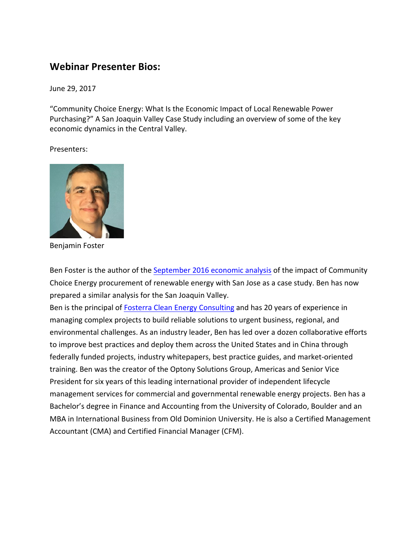## **Webinar Presenter Bios:**

June 29, 2017

"Community Choice Energy: What Is the Economic Impact of Local Renewable Power Purchasing?" A San Joaquin Valley Case Study including an overview of some of the key economic dynamics in the Central Valley.

Presenters:



Benjamin Foster

Ben Foster is the author of the September 2016 economic analysis of the impact of Community Choice Energy procurement of renewable energy with San Jose as a case study. Ben has now prepared a similar analysis for the San Joaquin Valley.

Ben is the principal of Fosterra Clean Energy Consulting and has 20 years of experience in managing complex projects to build reliable solutions to urgent business, regional, and environmental challenges. As an industry leader, Ben has led over a dozen collaborative efforts to improve best practices and deploy them across the United States and in China through federally funded projects, industry whitepapers, best practice guides, and market-oriented training. Ben was the creator of the Optony Solutions Group, Americas and Senior Vice President for six years of this leading international provider of independent lifecycle management services for commercial and governmental renewable energy projects. Ben has a Bachelor's degree in Finance and Accounting from the University of Colorado, Boulder and an MBA in International Business from Old Dominion University. He is also a Certified Management Accountant (CMA) and Certified Financial Manager (CFM).